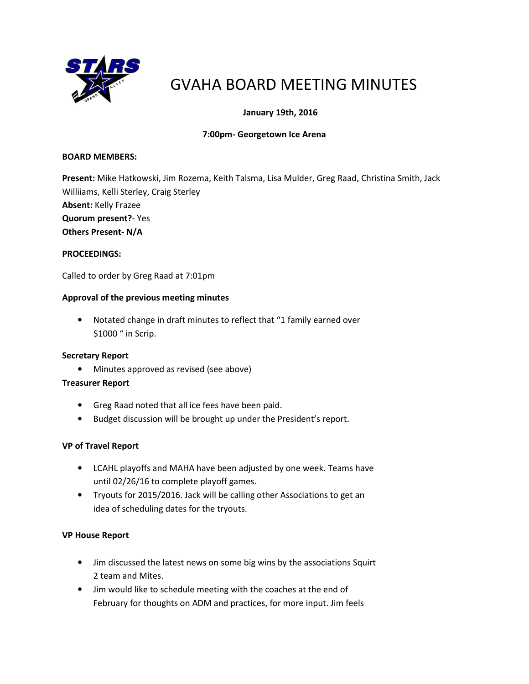

# GVAHA BOARD MEETING MINUTES

# January 19th, 2016

# 7:00pm- Georgetown Ice Arena

#### BOARD MEMBERS:

Present: Mike Hatkowski, Jim Rozema, Keith Talsma, Lisa Mulder, Greg Raad, Christina Smith, Jack Williiams, Kelli Sterley, Craig Sterley Absent: Kelly Frazee Quorum present?- Yes Others Present- N/A

# PROCEEDINGS:

Called to order by Greg Raad at 7:01pm

# Approval of the previous meeting minutes

• Notated change in draft minutes to reflect that "1 family earned over \$1000 " in Scrip.

#### Secretary Report

• Minutes approved as revised (see above)

#### Treasurer Report

- Greg Raad noted that all ice fees have been paid.
- Budget discussion will be brought up under the President's report.

# VP of Travel Report

- LCAHL playoffs and MAHA have been adjusted by one week. Teams have until 02/26/16 to complete playoff games.
- Tryouts for 2015/2016. Jack will be calling other Associations to get an idea of scheduling dates for the tryouts.

# VP House Report

- Jim discussed the latest news on some big wins by the associations Squirt 2 team and Mites.
- Jim would like to schedule meeting with the coaches at the end of February for thoughts on ADM and practices, for more input. Jim feels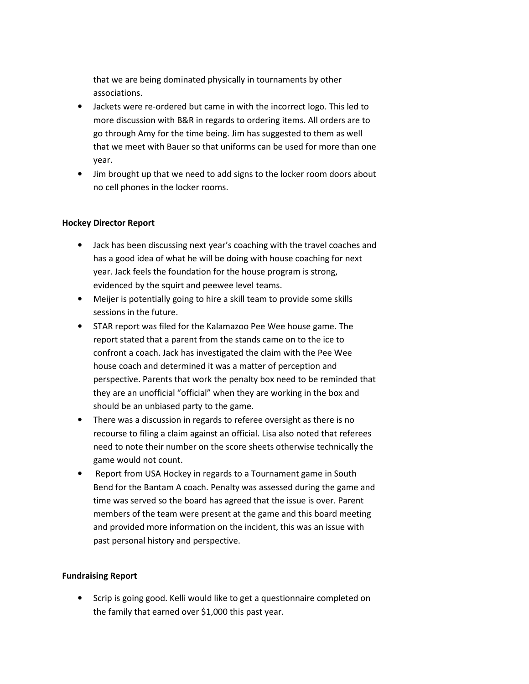that we are being dominated physically in tournaments by other associations.

- Jackets were re-ordered but came in with the incorrect logo. This led to more discussion with B&R in regards to ordering items. All orders are to go through Amy for the time being. Jim has suggested to them as well that we meet with Bauer so that uniforms can be used for more than one year.
- Jim brought up that we need to add signs to the locker room doors about no cell phones in the locker rooms.

# Hockey Director Report

- Jack has been discussing next year's coaching with the travel coaches and has a good idea of what he will be doing with house coaching for next year. Jack feels the foundation for the house program is strong, evidenced by the squirt and peewee level teams.
- Meijer is potentially going to hire a skill team to provide some skills sessions in the future.
- STAR report was filed for the Kalamazoo Pee Wee house game. The report stated that a parent from the stands came on to the ice to confront a coach. Jack has investigated the claim with the Pee Wee house coach and determined it was a matter of perception and perspective. Parents that work the penalty box need to be reminded that they are an unofficial "official" when they are working in the box and should be an unbiased party to the game.
- There was a discussion in regards to referee oversight as there is no recourse to filing a claim against an official. Lisa also noted that referees need to note their number on the score sheets otherwise technically the game would not count.
- Report from USA Hockey in regards to a Tournament game in South Bend for the Bantam A coach. Penalty was assessed during the game and time was served so the board has agreed that the issue is over. Parent members of the team were present at the game and this board meeting and provided more information on the incident, this was an issue with past personal history and perspective.

# Fundraising Report

• Scrip is going good. Kelli would like to get a questionnaire completed on the family that earned over \$1,000 this past year.